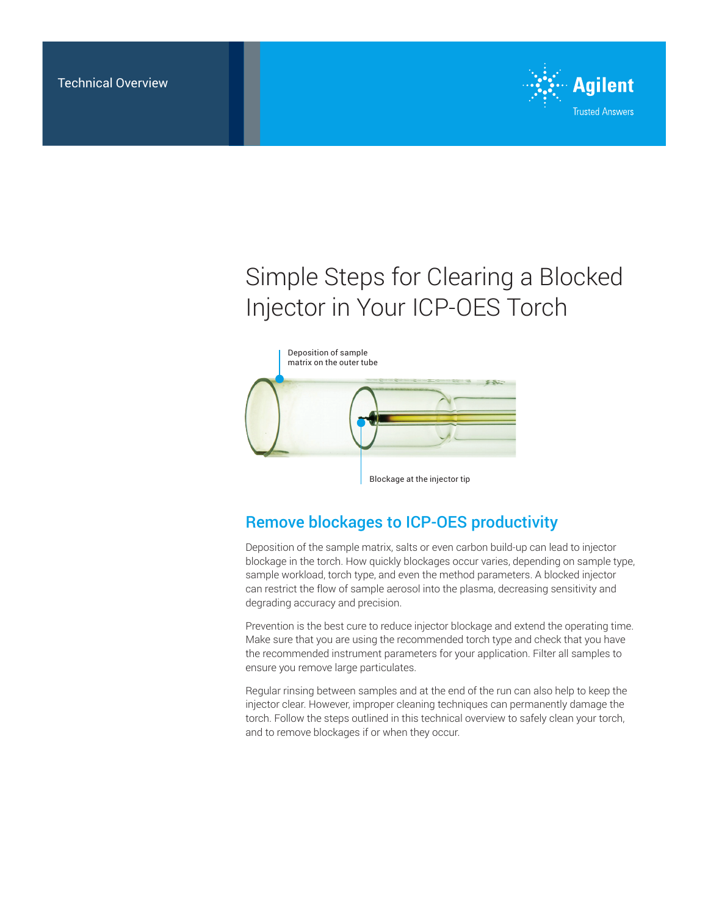

# Simple Steps for Clearing a Blocked Injector in Your ICP-OES Torch



# Remove blockages to ICP-OES productivity

Deposition of the sample matrix, salts or even carbon build-up can lead to injector blockage in the torch. How quickly blockages occur varies, depending on sample type, sample workload, torch type, and even the method parameters. A blocked injector can restrict the flow of sample aerosol into the plasma, decreasing sensitivity and degrading accuracy and precision.

Prevention is the best cure to reduce injector blockage and extend the operating time. Make sure that you are using the recommended torch type and check that you have the recommended instrument parameters for your application. Filter all samples to ensure you remove large particulates.

Regular rinsing between samples and at the end of the run can also help to keep the injector clear. However, improper cleaning techniques can permanently damage the torch. Follow the steps outlined in this technical overview to safely clean your torch, and to remove blockages if or when they occur.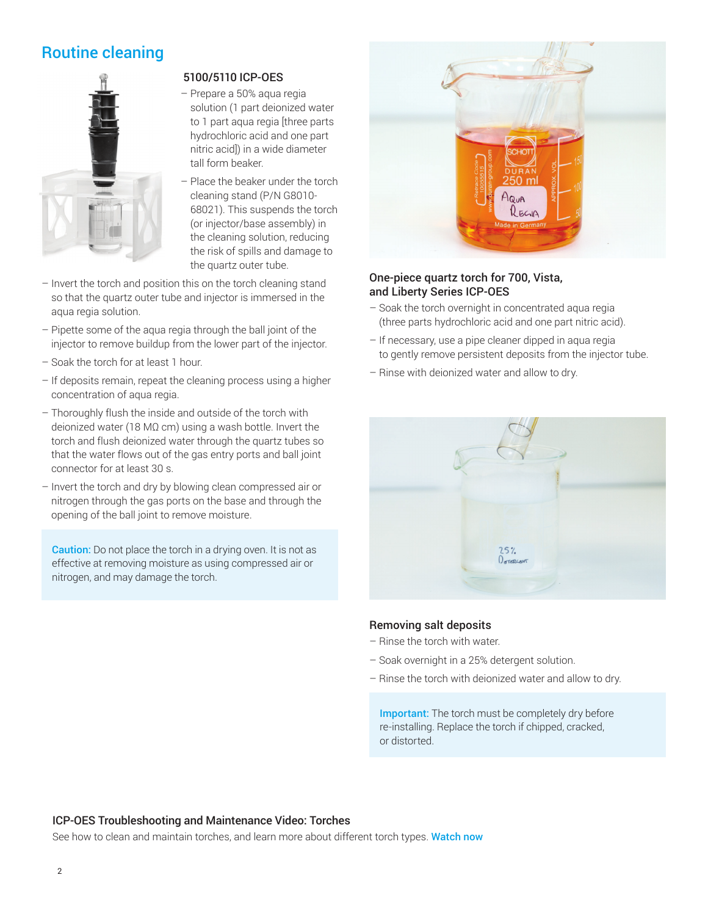# Routine cleaning



# 5100/5110 ICP-OES

- Prepare a 50% aqua regia solution (1 part deionized water to 1 part aqua regia [three parts hydrochloric acid and one part nitric acid]) in a wide diameter tall form beaker.
- Place the beaker under the torch cleaning stand (P/N G8010- 68021). This suspends the torch (or injector/base assembly) in the cleaning solution, reducing the risk of spills and damage to the quartz outer tube.
- Invert the torch and position this on the torch cleaning stand so that the quartz outer tube and injector is immersed in the aqua regia solution.
- Pipette some of the aqua regia through the ball joint of the injector to remove buildup from the lower part of the injector.
- Soak the torch for at least 1 hour.
- If deposits remain, repeat the cleaning process using a higher concentration of aqua regia.
- Thoroughly flush the inside and outside of the torch with deionized water (18 MΩ cm) using a wash bottle. Invert the torch and flush deionized water through the quartz tubes so that the water flows out of the gas entry ports and ball joint connector for at least 30 s.
- Invert the torch and dry by blowing clean compressed air or nitrogen through the gas ports on the base and through the opening of the ball joint to remove moisture.

**Caution:** Do not place the torch in a drying oven. It is not as effective at removing moisture as using compressed air or nitrogen, and may damage the torch.



# One-piece quartz torch for 700, Vista, and Liberty Series ICP-OES

- Soak the torch overnight in concentrated aqua regia (three parts hydrochloric acid and one part nitric acid).
- If necessary, use a pipe cleaner dipped in aqua regia to gently remove persistent deposits from the injector tube.
- Rinse with deionized water and allow to dry.



### Removing salt deposits

- Rinse the torch with water.
- Soak overnight in a 25% detergent solution.
- Rinse the torch with deionized water and allow to dry.

Important: The torch must be completely dry before re-installing. Replace the torch if chipped, cracked, or distorted.

### ICP-OES Troubleshooting and Maintenance Video: Torches

See how to clean and maintain torches, and learn more about different torch types. [Watch now](https://www.agilent.com/en-us/products/icp-oes/icp-oes-supplies/torches/axial-fully-demountable-torches/torches)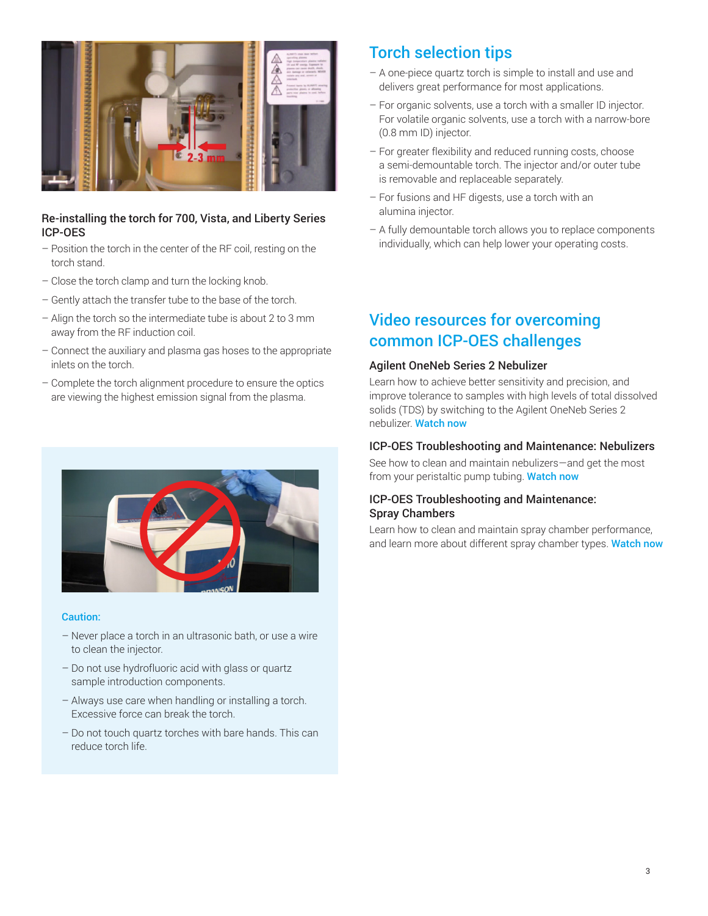

# Re-installing the torch for 700, Vista, and Liberty Series ICP-OES

- Position the torch in the center of the RF coil, resting on the torch stand.
- Close the torch clamp and turn the locking knob.
- Gently attach the transfer tube to the base of the torch.
- Align the torch so the intermediate tube is about 2 to 3 mm away from the RF induction coil.
- Connect the auxiliary and plasma gas hoses to the appropriate inlets on the torch.
- Complete the torch alignment procedure to ensure the optics are viewing the highest emission signal from the plasma.



#### Caution:

- Never place a torch in an ultrasonic bath, or use a wire to clean the injector.
- Do not use hydrofluoric acid with glass or quartz sample introduction components.
- Always use care when handling or installing a torch. Excessive force can break the torch.
- Do not touch quartz torches with bare hands. This can reduce torch life.

# Torch selection tips

- A one-piece quartz torch is simple to install and use and delivers great performance for most applications.
- For organic solvents, use a torch with a smaller ID injector. For volatile organic solvents, use a torch with a narrow-bore (0.8 mm ID) injector.
- For greater flexibility and reduced running costs, choose a semi-demountable torch. The injector and/or outer tube is removable and replaceable separately.
- For fusions and HF digests, use a torch with an alumina injector.
- A fully demountable torch allows you to replace components individually, which can help lower your operating costs.

# Video resources for overcoming common ICP-OES challenges

### Agilent OneNeb Series 2 Nebulizer

Learn how to achieve better sensitivity and precision, and improve tolerance to samples with high levels of total dissolved solids (TDS) by switching to the Agilent OneNeb Series 2 nebulizer. [Watch now](https://www.agilent.com/en/video/oneneb-series-2-video)

### ICP-OES Troubleshooting and Maintenance: Nebulizers

See how to clean and maintain nebulizers—and get the most from your peristaltic pump tubing. [Watch now](https://www.agilent.com/en/products/icp-oes/icp-oes-supplies/nebulizers/icp-oes-nebulizers-accessories/nebulizersvideo)

# ICP-OES Troubleshooting and Maintenance: Spray Chambers

Learn how to clean and maintain spray chamber performance, and learn more about different spray chamber types. [Watch now](https://www.agilent.com/en-us/products/icp-oes/icp-oes-supplies/spray-chambers/spray-chambers-brackets/spraychamber)